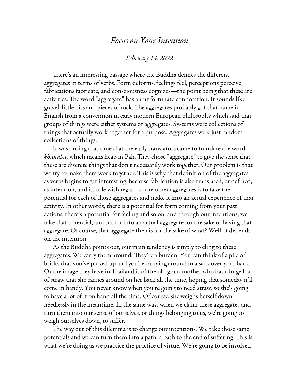## *Focus on Your Intention*

## *February 14, 2022*

There's an interesting passage where the Buddha defines the different aggregates in terms of verbs. Form deforms, feelings feel, perceptions perceive, fabrications fabricate, and consciousness cognizes—the point being that these are activities. The word "aggregate" has an unfortunate connotation. It sounds like gravel, little bits and pieces of rock. The aggregates probably got that name in English from a convention in early modern European philosophy which said that groups of things were either systems or aggregates. Systems were collections of things that actually work together for a purpose. Aggregates were just random collections of things.

It was during that time that the early translators came to translate the word *khandha,* which means heap in Pali. They chose "aggregate" to give the sense that these are discrete things that don't necessarily work together. Our problem is that we try to make them work together. This is why that definition of the aggregates as verbs begins to get interesting, because fabrication is also translated, or defined, as intention, and its role with regard to the other aggregates is to take the potential for each of those aggregates and make it into an actual experience of that activity. In other words, there is a potential for form coming from your past actions, there's a potential for feeling and so on, and through our intentions, we take that potential, and turn it into an actual aggregate for the sake of having that aggregate. Of course, that aggregate then is for the sake of what? Well, it depends on the intention.

As the Buddha points out, our main tendency is simply to cling to these aggregates. We carry them around, They're a burden. You can think of a pile of bricks that you've picked up and you're carrying around in a sack over your back. Or the image they have in Thailand is of the old grandmother who has a huge load of straw that she carries around on her back all the time, hoping that someday it'll come in handy. You never know when you're going to need straw, so she's going to have a lot of it on hand all the time. Of course, she weighs herself down needlessly in the meantime. In the same way, when we claim these aggregates and turn them into our sense of ourselves, or things belonging to us, we're going to weigh ourselves down, to suffer.

The way out of this dilemma is to change our intentions. We take those same potentials and we can turn them into a path, a path to the end of suffering. This is what we're doing as we practice the practice of virtue. We're going to be involved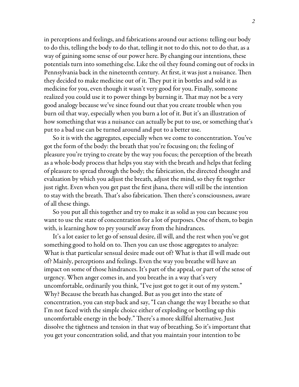in perceptions and feelings, and fabrications around our actions: telling our body to do this, telling the body to do that, telling it not to do this, not to do that, as a way of gaining some sense of our power here. By changing our intentions, these potentials turn into something else. Like the oil they found coming out of rocks in Pennsylvania back in the nineteenth century. At first, it was just a nuisance. Then they decided to make medicine out of it. They put it in bottles and sold it as medicine for you, even though it wasn't very good for you. Finally, someone realized you could use it to power things by burning it. That may not be a very good analogy because we've since found out that you create trouble when you burn oil that way, especially when you burn a lot of it. But it's an illustration of how something that was a nuisance can actually be put to use, or something that's put to a bad use can be turned around and put to a better use.

So it is with the aggregates, especially when we come to concentration. You've got the form of the body: the breath that you're focusing on; the feeling of pleasure you're trying to create by the way you focus; the perception of the breath as a whole-body process that helps you stay with the breath and helps that feeling of pleasure to spread through the body; the fabrication, the directed thought and evaluation by which you adjust the breath, adjust the mind, so they fit together just right. Even when you get past the first jhana, there will still be the intention to stay with the breath. That's also fabrication. Then there's consciousness, aware of all these things.

So you put all this together and try to make it as solid as you can because you want to use the state of concentration for a lot of purposes. One of them, to begin with, is learning how to pry yourself away from the hindrances.

It's a lot easier to let go of sensual desire, ill will, and the rest when you've got something good to hold on to. Then you can use those aggregates to analyze: What is that particular sensual desire made out of? What is that ill will made out of? Mainly, perceptions and feelings. Even the way you breathe will have an impact on some of those hindrances. It's part of the appeal, or part of the sense of urgency. When anger comes in, and you breathe in a way that's very uncomfortable, ordinarily you think, "I've just got to get it out of my system." Why? Because the breath has changed. But as you get into the state of concentration, you can step back and say, "I can change the way I breathe so that I'm not faced with the simple choice either of exploding or bottling up this uncomfortable energy in the body." There's a more skillful alternative. Just dissolve the tightness and tension in that way of breathing. So it's important that you get your concentration solid, and that you maintain your intention to be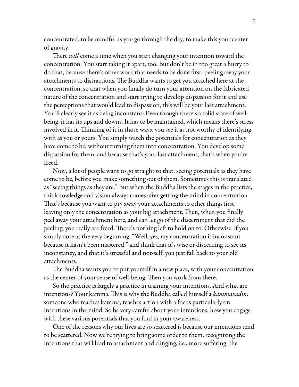concentrated, to be mindful as you go through the day, to make this your center of gravity.

There *will* come a time when you start changing your intention toward the concentration. You start taking it apart, too. But don't be in too great a hurry to do that, because there's other work that needs to be done first: peeling away your attachments to distractions. The Buddha wants to get you attached here at the concentration, so that when you finally do turn your attention on the fabricated nature of the concentration and start trying to develop dispassion for it and use the perceptions that would lead to dispassion, this will be your last attachment. You'll clearly see it as being inconstant: Even though there's a solid state of wellbeing, it has its ups and downs. It has to be maintained, which means there's stress involved in it. Thinking of it in those ways, you see it as not worthy of identifying with as you or yours. You simply watch the potentials for concentration as they have come to be, without turning them into concentration. You develop some dispassion for them, and because that's your last attachment, that's when you're freed.

Now, a lot of people want to go straight to that: seeing potentials as they have come to be, before you make something out of them. Sometimes this is translated as "seeing things as they are." But when the Buddha lists the stages in the practice, this knowledge and vision always comes after getting the mind in concentration. That's because you want to pry away your attachments to other things first, leaving only the concentration as your big attachment. Then, when you finally peel away your attachment here, and can let go of the discernment that did the peeling, you really are freed. There's nothing left to hold on to. Otherwise, if you simply note at the very beginning, "Well, yes, my concentration is inconstant because it hasn't been mastered," and think that it's wise or discerning to see its inconstancy, and that it's stressful and not-self, you just fall back to your old attachments.

The Buddha wants you to put yourself in a new place, with your concentration as the center of your sense of well-being. Then you work from there.

So the practice is largely a practice in training your intentions. And what are intentions? Your kamma. This is why the Buddha called himself a *kammavadin:* someone who teaches kamma, teaches action with a focus particularly on intentions in the mind. So be very careful about your intentions, how you engage with these various potentials that you find in your awareness.

One of the reasons why our lives are so scattered is because our intentions tend to be scattered. Now we're trying to bring some order to them, recognizing the intentions that will lead to attachment and clinging, i.e., more suffering; the